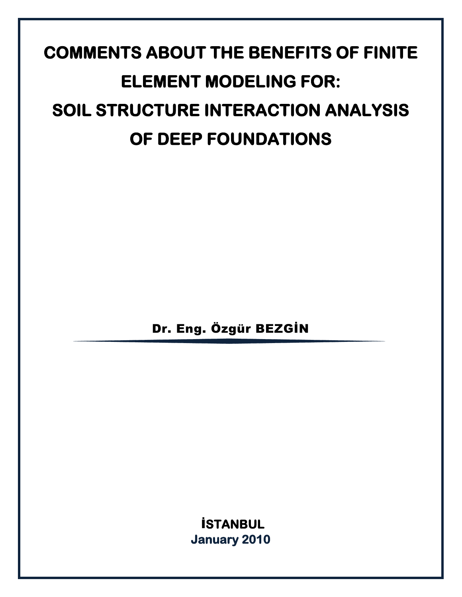# **COMMENTS ABOUT THE BENEFITS OF FINITE ELEMENT MODELING FOR: SOIL STRUCTURE INTERACTION ANALYSIS OF DEEP FOUNDATIONS**

Dr. Eng. Özgür BEZGİN

İ**STANBUL January 2010**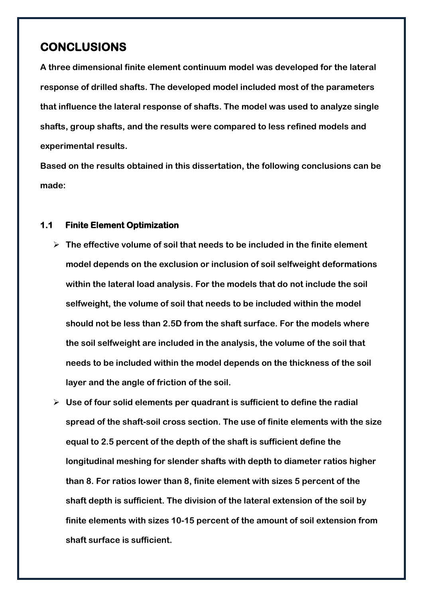### **CONCLUSIONS**

**A three dimensional finite element continuum model was developed for the lateral response of drilled shafts. The developed model included most of the parameters that influence the lateral response of shafts. The model was used to analyze single shafts, group shafts, and the results were compared to less refined models and experimental results.**

**Based on the results obtained in this dissertation, the following conclusions can be made:**

#### **1.1 Finite Element Optimization**

- **The effective volume of soil that needs to be included in the finite element model depends on the exclusion or inclusion of soil selfweight deformations within the lateral load analysis. For the models that do not include the soil selfweight, the volume of soil that needs to be included within the model should not be less than 2.5D from the shaft surface. For the models where the soil selfweight are included in the analysis, the volume of the soil that needs to be included within the model depends on the thickness of the soil layer and the angle of friction of the soil.**
- **Use of four solid elements per quadrant is sufficient to define the radial spread of the shaft-soil cross section. The use of finite elements with the size equal to 2.5 percent of the depth of the shaft is sufficient define the longitudinal meshing for slender shafts with depth to diameter ratios higher than 8. For ratios lower than 8, finite element with sizes 5 percent of the shaft depth is sufficient. The division of the lateral extension of the soil by finite elements with sizes 10-15 percent of the amount of soil extension from shaft surface is sufficient.**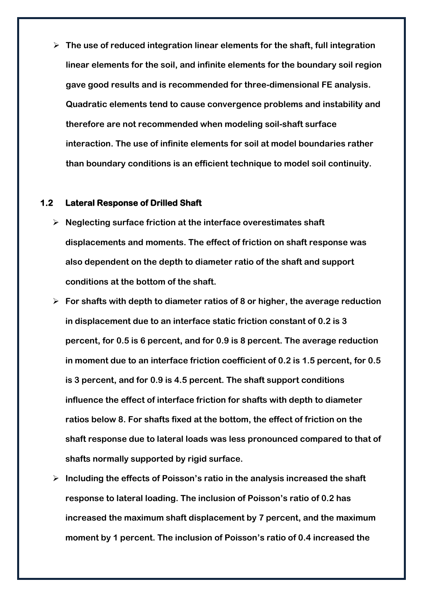**The use of reduced integration linear elements for the shaft, full integration linear elements for the soil, and infinite elements for the boundary soil region gave good results and is recommended for three-dimensional FE analysis. Quadratic elements tend to cause convergence problems and instability and therefore are not recommended when modeling soil-shaft surface interaction. The use of infinite elements for soil at model boundaries rather than boundary conditions is an efficient technique to model soil continuity.**

#### **1.2 Lateral Response of Drilled Shaft**

- **Neglecting surface friction at the interface overestimates shaft displacements and moments. The effect of friction on shaft response was also dependent on the depth to diameter ratio of the shaft and support conditions at the bottom of the shaft.**
- **For shafts with depth to diameter ratios of 8 or higher, the average reduction in displacement due to an interface static friction constant of 0.2 is 3 percent, for 0.5 is 6 percent, and for 0.9 is 8 percent. The average reduction in moment due to an interface friction coefficient of 0.2 is 1.5 percent, for 0.5 is 3 percent, and for 0.9 is 4.5 percent. The shaft support conditions influence the effect of interface friction for shafts with depth to diameter ratios below 8. For shafts fixed at the bottom, the effect of friction on the shaft response due to lateral loads was less pronounced compared to that of shafts normally supported by rigid surface.**
- **Including the effects of Poisson's ratio in the analysis increased the shaft response to lateral loading. The inclusion of Poisson's ratio of 0.2 has increased the maximum shaft displacement by 7 percent, and the maximum moment by 1 percent. The inclusion of Poisson's ratio of 0.4 increased the**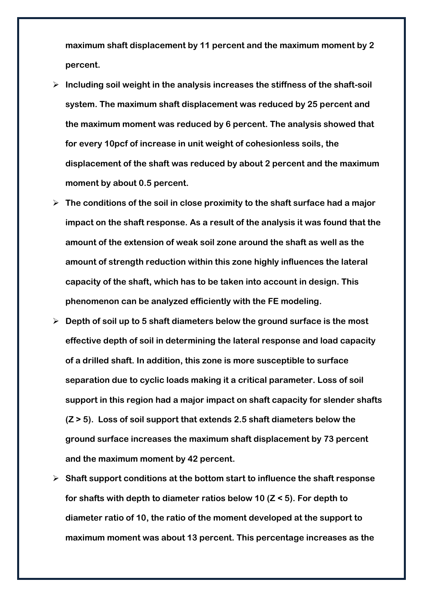**maximum shaft displacement by 11 percent and the maximum moment by 2 percent.**

- **Including soil weight in the analysis increases the stiffness of the shaft-soil system. The maximum shaft displacement was reduced by 25 percent and the maximum moment was reduced by 6 percent. The analysis showed that for every 10pcf of increase in unit weight of cohesionless soils, the displacement of the shaft was reduced by about 2 percent and the maximum moment by about 0.5 percent.**
- **The conditions of the soil in close proximity to the shaft surface had a major impact on the shaft response. As a result of the analysis it was found that the amount of the extension of weak soil zone around the shaft as well as the amount of strength reduction within this zone highly influences the lateral capacity of the shaft, which has to be taken into account in design. This phenomenon can be analyzed efficiently with the FE modeling.**
- **Depth of soil up to 5 shaft diameters below the ground surface is the most effective depth of soil in determining the lateral response and load capacity of a drilled shaft. In addition, this zone is more susceptible to surface separation due to cyclic loads making it a critical parameter. Loss of soil support in this region had a major impact on shaft capacity for slender shafts (Z > 5). Loss of soil support that extends 2.5 shaft diameters below the ground surface increases the maximum shaft displacement by 73 percent and the maximum moment by 42 percent.**
- **Shaft support conditions at the bottom start to influence the shaft response for shafts with depth to diameter ratios below 10 (Z < 5). For depth to diameter ratio of 10, the ratio of the moment developed at the support to maximum moment was about 13 percent. This percentage increases as the**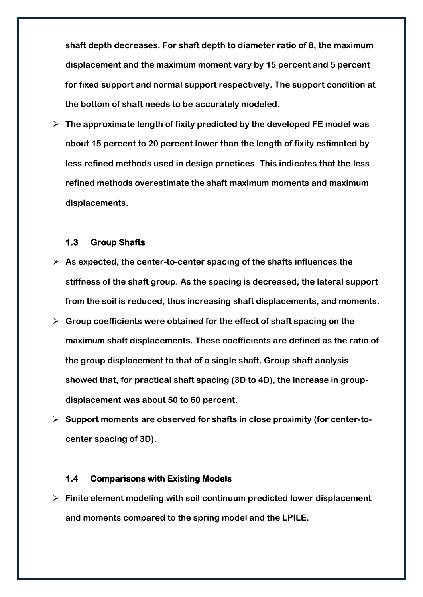**shaft depth decreases. For shaft depth to diameter ratio of 8, the maximum displacement and the maximum moment vary by 15 percent and 5 percent for fixed support and normal support respectively. The support condition at the bottom of shaft needs to be accurately modeled.** 

 **The approximate length of fixity predicted by the developed FE model was about 15 percent to 20 percent lower than the length of fixity estimated by less refined methods used in design practices. This indicates that the less refined methods overestimate the shaft maximum moments and maximum displacements.**

#### **1.3 Group Shafts**

- **As expected, the center-to-center spacing of the shafts influences the stiffness of the shaft group. As the spacing is decreased, the lateral support from the soil is reduced, thus increasing shaft displacements, and moments.**
- **Group coefficients were obtained for the effect of shaft spacing on the maximum shaft displacements. These coefficients are defined as the ratio of the group displacement to that of a single shaft. Group shaft analysis showed that, for practical shaft spacing (3D to 4D), the increase in groupdisplacement was about 50 to 60 percent.**
- **Support moments are observed for shafts in close proximity (for center-tocenter spacing of 3D).**

#### **1.4 Comparisons with Existing Models**

 **Finite element modeling with soil continuum predicted lower displacement and moments compared to the spring model and the LPILE.**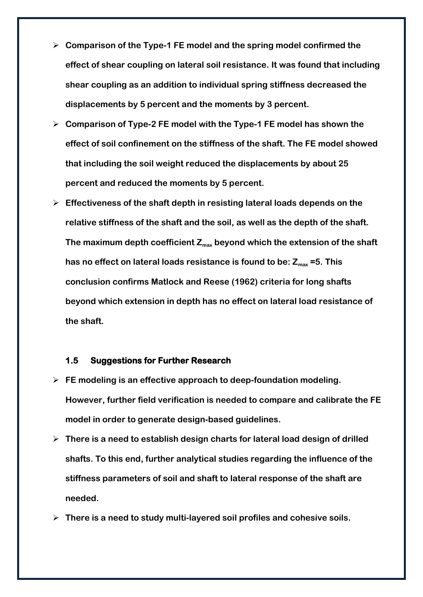- **Comparison of the Type-1 FE model and the spring model confirmed the effect of shear coupling on lateral soil resistance. It was found that including shear coupling as an addition to individual spring stiffness decreased the displacements by 5 percent and the moments by 3 percent.**
- **Comparison of Type-2 FE model with the Type-1 FE model has shown the effect of soil confinement on the stiffness of the shaft. The FE model showed that including the soil weight reduced the displacements by about 25 percent and reduced the moments by 5 percent.**
- **Effectiveness of the shaft depth in resisting lateral loads depends on the relative stiffness of the shaft and the soil, as well as the depth of the shaft. The maximum depth coefficient Zmax beyond which the extension of the shaft has no effect on lateral loads resistance is found to be: Zmax =5. This conclusion confirms Matlock and Reese (1962) criteria for long shafts beyond which extension in depth has no effect on lateral load resistance of the shaft.**

#### **1.5 Suggestions for Further Research**

- **FE modeling is an effective approach to deep-foundation modeling. However, further field verification is needed to compare and calibrate the FE model in order to generate design-based guidelines.**
- **There is a need to establish design charts for lateral load design of drilled shafts. To this end, further analytical studies regarding the influence of the stiffness parameters of soil and shaft to lateral response of the shaft are needed.**
- **There is a need to study multi-layered soil profiles and cohesive soils.**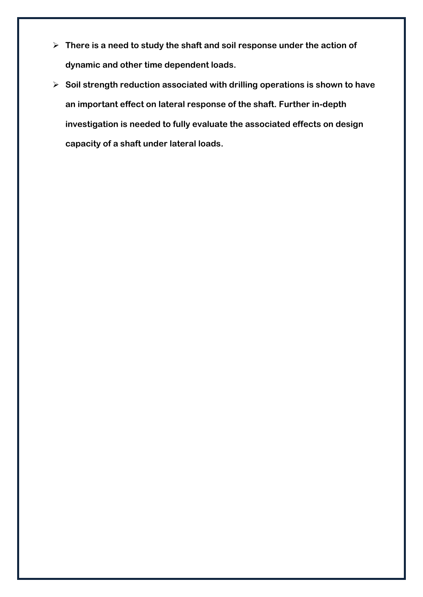- **There is a need to study the shaft and soil response under the action of dynamic and other time dependent loads.**
- **Soil strength reduction associated with drilling operations is shown to have an important effect on lateral response of the shaft. Further in-depth investigation is needed to fully evaluate the associated effects on design capacity of a shaft under lateral loads.**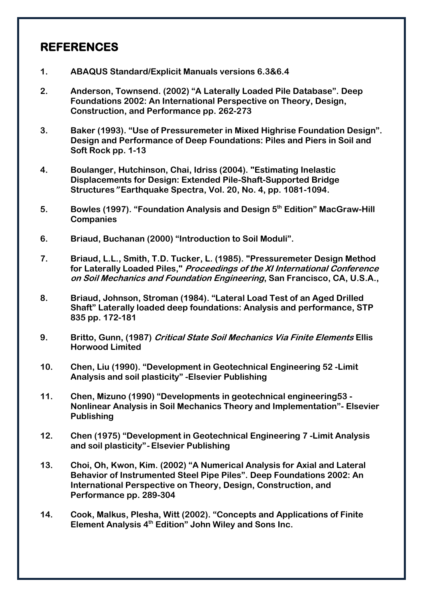## **REFERENCES**

- **1. ABAQUS Standard/Explicit Manuals versions 6.3&6.4**
- **2. Anderson, Townsend. (2002) "A Laterally Loaded Pile Database". Deep Foundations 2002: An International Perspective on Theory, Design, Construction, and Performance pp. 262-273**
- **3. Baker (1993). "Use of Pressuremeter in Mixed Highrise Foundation Design". Design and Performance of Deep Foundations: Piles and Piers in Soil and Soft Rock pp. 1-13**
- **4. Boulanger, Hutchinson, Chai, Idriss (2004). "Estimating Inelastic Displacements for Design: Extended Pile-Shaft-Supported Bridge Structures" Earthquake Spectra, Vol. 20, No. 4, pp. 1081-1094.**
- **5. Bowles (1997). "Foundation Analysis and Design 5th Edition" MacGraw-Hill Companies**
- **6. Briaud, Buchanan (2000) "Introduction to Soil Moduli".**
- **7. Briaud, L.L., Smith, T.D. Tucker, L. (1985). "Pressuremeter Design Method for Laterally Loaded Piles," Proceedings of the XI International Conference on Soil Mechanics and Foundation Engineering, San Francisco, CA, U.S.A.,**
- **8. Briaud, Johnson, Stroman (1984). "Lateral Load Test of an Aged Drilled Shaft" Laterally loaded deep foundations: Analysis and performance, STP 835 pp. 172-181**
- **9. Britto, Gunn, (1987) Critical State Soil Mechanics Via Finite Elements Ellis Horwood Limited**
- **10. Chen, Liu (1990). "Development in Geotechnical Engineering 52 -Limit Analysis and soil plasticity" -Elsevier Publishing**
- **11. Chen, Mizuno (1990) "Developments in geotechnical engineering53 - Nonlinear Analysis in Soil Mechanics Theory and Implementation"- Elsevier Publishing**
- **12. Chen (1975) "Development in Geotechnical Engineering 7 -Limit Analysis and soil plasticity"- Elsevier Publishing**
- **13. Choi, Oh, Kwon, Kim. (2002) "A Numerical Analysis for Axial and Lateral Behavior of Instrumented Steel Pipe Piles". Deep Foundations 2002: An International Perspective on Theory, Design, Construction, and Performance pp. 289-304**
- **14. Cook, Malkus, Plesha, Witt (2002). "Concepts and Applications of Finite Element Analysis 4th Edition" John Wiley and Sons Inc.**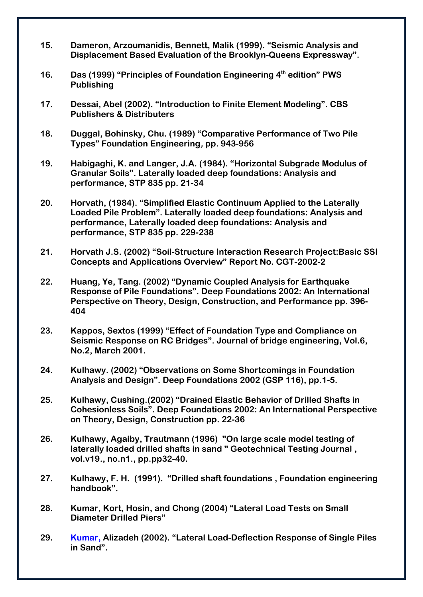- **15. Dameron, Arzoumanidis, Bennett, Malik (1999). "Seismic Analysis and Displacement Based Evaluation of the Brooklyn-Queens Expressway".**
- **16. Das (1999) "Principles of Foundation Engineering 4th edition" PWS Publishing**
- **17. Dessai, Abel (2002). "Introduction to Finite Element Modeling". CBS Publishers & Distributers**
- **18. Duggal, Bohinsky, Chu. (1989) "Comparative Performance of Two Pile Types" Foundation Engineering, pp. 943-956**
- **19. Habigaghi, K. and Langer, J.A. (1984). "Horizontal Subgrade Modulus of Granular Soils". Laterally loaded deep foundations: Analysis and performance, STP 835 pp. 21-34**
- **20. Horvath, (1984). "Simplified Elastic Continuum Applied to the Laterally Loaded Pile Problem". Laterally loaded deep foundations: Analysis and performance, Laterally loaded deep foundations: Analysis and performance, STP 835 pp. 229-238**
- **21. Horvath J.S. (2002) "Soil-Structure Interaction Research Project:Basic SSI Concepts and Applications Overview" Report No. CGT-2002-2**
- **22. Huang, Ye, Tang. (2002) "Dynamic Coupled Analysis for Earthquake Response of Pile Foundations". Deep Foundations 2002: An International Perspective on Theory, Design, Construction, and Performance pp. 396- 404**
- **23. Kappos, Sextos (1999) "Effect of Foundation Type and Compliance on Seismic Response on RC Bridges". Journal of bridge engineering, Vol.6, No.2, March 2001.**
- **24. Kulhawy. (2002) "Observations on Some Shortcomings in Foundation Analysis and Design". Deep Foundations 2002 (GSP 116), pp.1-5.**
- **25. Kulhawy, Cushing.(2002) "Drained Elastic Behavior of Drilled Shafts in Cohesionless Soils". Deep Foundations 2002: An International Perspective on Theory, Design, Construction pp. 22-36**
- **26. Kulhawy, Agaiby, Trautmann (1996) "On large scale model testing of laterally loaded drilled shafts in sand " Geotechnical Testing Journal , vol.v19., no.n1., pp.pp32-40.**
- **27. Kulhawy, F. H. (1991). "Drilled shaft foundations , Foundation engineering handbook".**
- **28. Kumar, Kort, Hosin, and Chong (2004) "Lateral Load Tests on Small Diameter Drilled Piers"**
- **29. Kumar, Alizadeh (2002). "Lateral Load-Deflection Response of Single Piles in Sand".**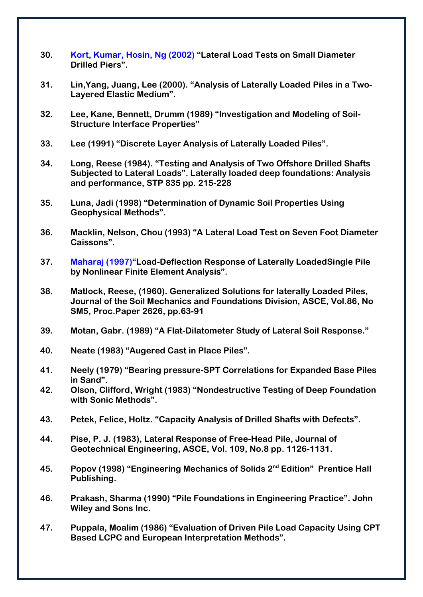- **30. Kort, Kumar, Hosin, Ng (2002) "Lateral Load Tests on Small Diameter Drilled Piers".**
- **31. Lin,Yang, Juang, Lee (2000). "Analysis of Laterally Loaded Piles in a Two-Layered Elastic Medium".**
- **32. Lee, Kane, Bennett, Drumm (1989) "Investigation and Modeling of Soil-Structure Interface Properties"**
- **33. Lee (1991) "Discrete Layer Analysis of Laterally Loaded Piles".**
- **34. Long, Reese (1984). "Testing and Analysis of Two Offshore Drilled Shafts Subjected to Lateral Loads". Laterally loaded deep foundations: Analysis and performance, STP 835 pp. 215-228**
- **35. Luna, Jadi (1998) "Determination of Dynamic Soil Properties Using Geophysical Methods".**
- **36. Macklin, Nelson, Chou (1993) "A Lateral Load Test on Seven Foot Diameter Caissons".**
- **37. Maharaj (1997)"Load-Deflection Response of Laterally LoadedSingle Pile by Nonlinear Finite Element Analysis".**
- **38. Matlock, Reese, (1960). Generalized Solutions for laterally Loaded Piles, Journal of the Soil Mechanics and Foundations Division, ASCE, Vol.86, No SM5, Proc.Paper 2626, pp.63-91**
- **39. Motan, Gabr. (1989) "A Flat-Dilatometer Study of Lateral Soil Response."**
- **40. Neate (1983) "Augered Cast in Place Piles".**
- **41. Neely (1979) "Bearing pressure-SPT Correlations for Expanded Base Piles in Sand".**
- **42. Olson, Clifford, Wright (1983) "Nondestructive Testing of Deep Foundation with Sonic Methods".**
- **43. Petek, Felice, Holtz. "Capacity Analysis of Drilled Shafts with Defects".**
- **44. Pise, P. J. (1983), Lateral Response of Free-Head Pile, Journal of Geotechnical Engineering, ASCE, Vol. 109, No.8 pp. 1126-1131.**
- **45. Popov (1998) "Engineering Mechanics of Solids 2nd Edition" Prentice Hall Publishing.**
- **46. Prakash, Sharma (1990) "Pile Foundations in Engineering Practice". John Wiley and Sons Inc.**
- **47. Puppala, Moalim (1986) "Evaluation of Driven Pile Load Capacity Using CPT Based LCPC and European Interpretation Methods".**